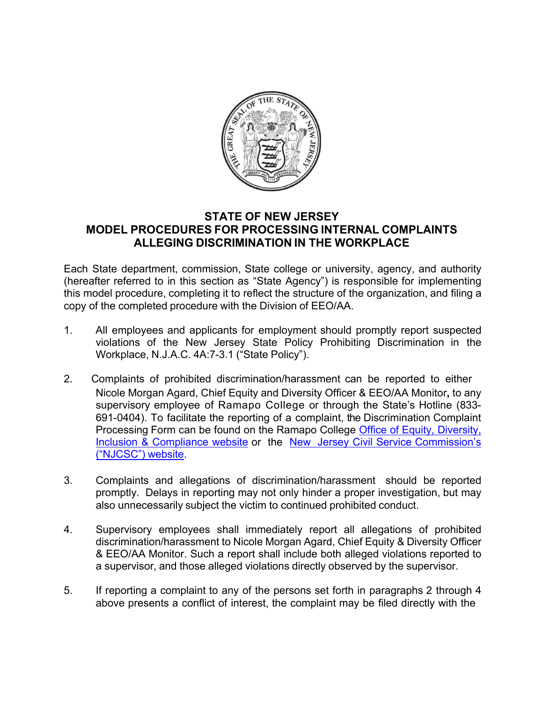

## **STATE OF NEW JERSEY MODEL PROCEDURES FOR PROCESSING INTERNAL COMPLAINTS ALLEGING DISCRIMINATION IN THE WORKPLACE**

Each State department, commission, State college or university, agency, and authority (hereafter referred to in this section as "State Agency") is responsible for implementing this model procedure, completing it to reflect the structure of the organization, and filing a copy of the completed procedure with the Division of EEO/AA.

- 1. All employees and applicants for employment should promptly report suspected violations of the New Jersey State Policy Prohibiting Discrimination in the Workplace, N.J.A.C. 4A:7-3.1 ("State Policy").
- 2. Complaints of prohibited discrimination/harassment can be reported to either Nicole Morgan Agard, Chief Equity and Diversity Officer & EEO/AA Monitor**,** to any supervisory employee of Ramapo College or through the State's Hotline (833- 691-0404). To facilitate the reporting of a complaint, the Discrimination Complaint Processing Form can be found on the Ramapo College Office of Equity, Diversity, Inclusion & Compliance website or the New Jersey Civil Service Commission's ("NJCSC") website.
- 3. Complaints and allegations of discrimination/harassment should be reported promptly. Delays in reporting may not only hinder a proper investigation, but may also unnecessarily subject the victim to continued prohibited conduct.
- 4. Supervisory employees shall immediately report all allegations of prohibited discrimination/harassment to Nicole Morgan Agard, Chief Equity & Diversity Officer & EEO/AA Monitor. Such a report shall include both alleged violations reported to a supervisor, and those alleged violations directly observed by the supervisor.
- 5. If reporting a complaint to any of the persons set forth in paragraphs 2 through 4 above presents a conflict of interest, the complaint may be filed directly with the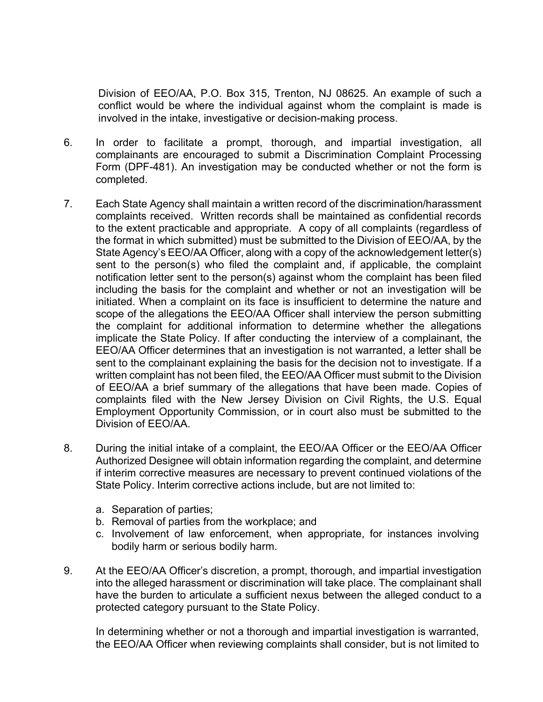Division of EEO/AA, P.O. Box 315, Trenton, NJ 08625. An example of such a conflict would be where the individual against whom the complaint is made is involved in the intake, investigative or decision-making process.

- 6. In order to facilitate a prompt, thorough, and impartial investigation, all complainants are encouraged to submit a Discrimination Complaint Processing Form (DPF-481). An investigation may be conducted whether or not the form is completed.
- 7. Each State Agency shall maintain a written record of the discrimination/harassment complaints received. Written records shall be maintained as confidential records to the extent practicable and appropriate. A copy of all complaints (regardless of the format in which submitted) must be submitted to the Division of EEO/AA, by the State Agency's EEO/AA Officer, along with a copy of the acknowledgement letter(s) sent to the person(s) who filed the complaint and, if applicable, the complaint notification letter sent to the person(s) against whom the complaint has been filed including the basis for the complaint and whether or not an investigation will be initiated. When a complaint on its face is insufficient to determine the nature and scope of the allegations the EEO/AA Officer shall interview the person submitting the complaint for additional information to determine whether the allegations implicate the State Policy. If after conducting the interview of a complainant, the EEO/AA Officer determines that an investigation is not warranted, a letter shall be sent to the complainant explaining the basis for the decision not to investigate. If a written complaint has not been filed, the EEO/AA Officer must submit to the Division of EEO/AA a brief summary of the allegations that have been made. Copies of complaints filed with the New Jersey Division on Civil Rights, the U.S. Equal Employment Opportunity Commission, or in court also must be submitted to the Division of EEO/AA.
- 8. During the initial intake of a complaint, the EEO/AA Officer or the EEO/AA Officer Authorized Designee will obtain information regarding the complaint, and determine if interim corrective measures are necessary to prevent continued violations of the State Policy. Interim corrective actions include, but are not limited to:
	- a. Separation of parties;
	- b. Removal of parties from the workplace; and
	- c. Involvement of law enforcement, when appropriate, for instances involving bodily harm or serious bodily harm.
- 9. At the EEO/AA Officer's discretion, a prompt, thorough, and impartial investigation into the alleged harassment or discrimination will take place. The complainant shall have the burden to articulate a sufficient nexus between the alleged conduct to a protected category pursuant to the State Policy.

In determining whether or not a thorough and impartial investigation is warranted, the EEO/AA Officer when reviewing complaints shall consider, but is not limited to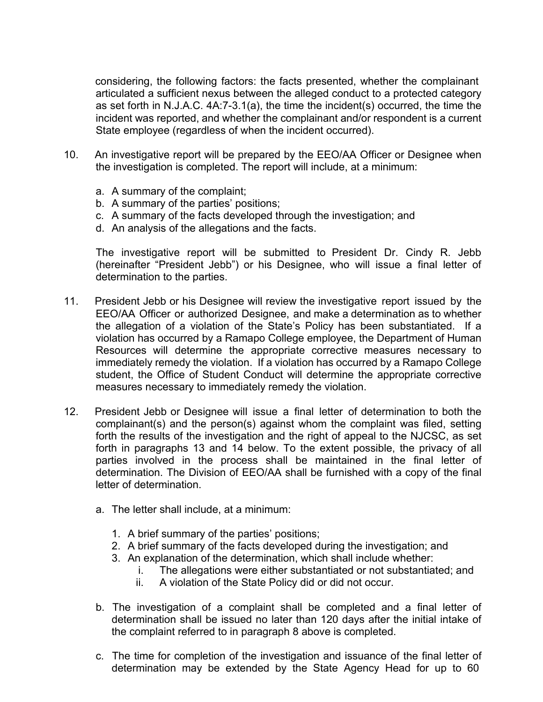considering, the following factors: the facts presented, whether the complainant articulated a sufficient nexus between the alleged conduct to a protected category as set forth in N.J.A.C. 4A:7-3.1(a), the time the incident(s) occurred, the time the incident was reported, and whether the complainant and/or respondent is a current State employee (regardless of when the incident occurred).

- 10. An investigative report will be prepared by the EEO/AA Officer or Designee when the investigation is completed. The report will include, at a minimum:
	- a. A summary of the complaint;
	- b. A summary of the parties' positions;
	- c. A summary of the facts developed through the investigation; and
	- d. An analysis of the allegations and the facts.

The investigative report will be submitted to President Dr. Cindy R. Jebb (hereinafter "President Jebb") or his Designee, who will issue a final letter of determination to the parties.

- 11. President Jebb or his Designee will review the investigative report issued by the EEO/AA Officer or authorized Designee, and make a determination as to whether the allegation of a violation of the State's Policy has been substantiated. If a violation has occurred by a Ramapo College employee, the Department of Human Resources will determine the appropriate corrective measures necessary to immediately remedy the violation. If a violation has occurred by a Ramapo College student, the Office of Student Conduct will determine the appropriate corrective measures necessary to immediately remedy the violation.
- 12. President Jebb or Designee will issue a final letter of determination to both the complainant(s) and the person(s) against whom the complaint was filed, setting forth the results of the investigation and the right of appeal to the NJCSC, as set forth in paragraphs 13 and 14 below. To the extent possible, the privacy of all parties involved in the process shall be maintained in the final letter of determination. The Division of EEO/AA shall be furnished with a copy of the final letter of determination.
	- a. The letter shall include, at a minimum:
		- 1. A brief summary of the parties' positions;
		- 2. A brief summary of the facts developed during the investigation; and
		- 3. An explanation of the determination, which shall include whether:
			- i. The allegations were either substantiated or not substantiated; and
			- ii. A violation of the State Policy did or did not occur.
	- b. The investigation of a complaint shall be completed and a final letter of determination shall be issued no later than 120 days after the initial intake of the complaint referred to in paragraph 8 above is completed.
	- c. The time for completion of the investigation and issuance of the final letter of determination may be extended by the State Agency Head for up to 60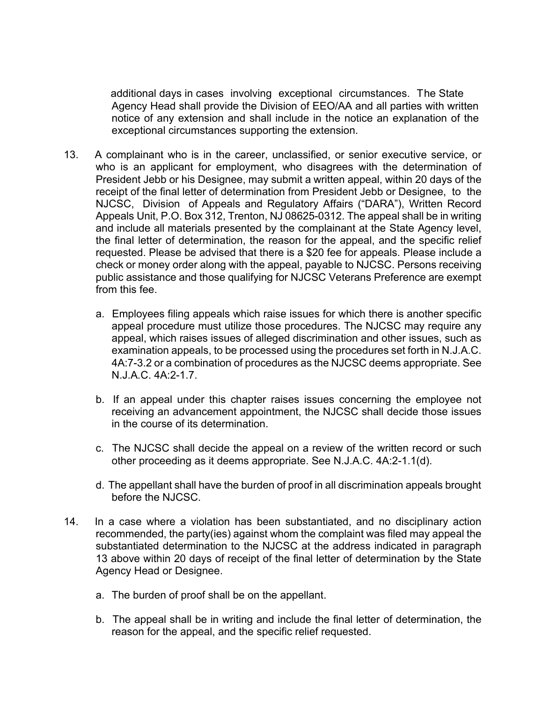additional days in cases involving exceptional circumstances. The State Agency Head shall provide the Division of EEO/AA and all parties with written notice of any extension and shall include in the notice an explanation of the exceptional circumstances supporting the extension.

- 13. A complainant who is in the career, unclassified, or senior executive service, or who is an applicant for employment, who disagrees with the determination of President Jebb or his Designee, may submit a written appeal, within 20 days of the receipt of the final letter of determination from President Jebb or Designee, to the NJCSC, Division of Appeals and Regulatory Affairs ("DARA"), Written Record Appeals Unit, P.O. Box 312, Trenton, NJ 08625-0312. The appeal shall be in writing and include all materials presented by the complainant at the State Agency level, the final letter of determination, the reason for the appeal, and the specific relief requested. Please be advised that there is a \$20 fee for appeals. Please include a check or money order along with the appeal, payable to NJCSC. Persons receiving public assistance and those qualifying for NJCSC Veterans Preference are exempt from this fee.
	- a. Employees filing appeals which raise issues for which there is another specific appeal procedure must utilize those procedures. The NJCSC may require any appeal, which raises issues of alleged discrimination and other issues, such as examination appeals, to be processed using the procedures set forth in N.J.A.C. 4A:7-3.2 or a combination of procedures as the NJCSC deems appropriate. See N.J.A.C. 4A:2-1.7.
	- b. If an appeal under this chapter raises issues concerning the employee not receiving an advancement appointment, the NJCSC shall decide those issues in the course of its determination.
	- c. The NJCSC shall decide the appeal on a review of the written record or such other proceeding as it deems appropriate. See N.J.A.C. 4A:2-1.1(d).
	- d. The appellant shall have the burden of proof in all discrimination appeals brought before the NJCSC.
- 14. In a case where a violation has been substantiated, and no disciplinary action recommended, the party(ies) against whom the complaint was filed may appeal the substantiated determination to the NJCSC at the address indicated in paragraph 13 above within 20 days of receipt of the final letter of determination by the State Agency Head or Designee.
	- a. The burden of proof shall be on the appellant.
	- b. The appeal shall be in writing and include the final letter of determination, the reason for the appeal, and the specific relief requested.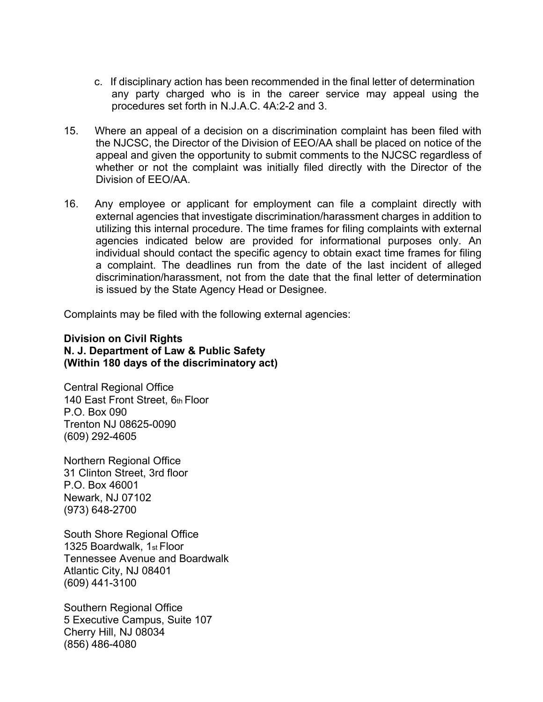- c. If disciplinary action has been recommended in the final letter of determination any party charged who is in the career service may appeal using the procedures set forth in N.J.A.C. 4A:2-2 and 3.
- 15. Where an appeal of a decision on a discrimination complaint has been filed with the NJCSC, the Director of the Division of EEO/AA shall be placed on notice of the appeal and given the opportunity to submit comments to the NJCSC regardless of whether or not the complaint was initially filed directly with the Director of the Division of EEO/AA.
- 16. Any employee or applicant for employment can file a complaint directly with external agencies that investigate discrimination/harassment charges in addition to utilizing this internal procedure. The time frames for filing complaints with external agencies indicated below are provided for informational purposes only. An individual should contact the specific agency to obtain exact time frames for filing a complaint. The deadlines run from the date of the last incident of alleged discrimination/harassment, not from the date that the final letter of determination is issued by the State Agency Head or Designee.

Complaints may be filed with the following external agencies:

## **Division on Civil Rights N. J. Department of Law & Public Safety (Within 180 days of the discriminatory act)**

Central Regional Office 140 East Front Street, 6th Floor P.O. Box 090 Trenton NJ 08625-0090 (609) 292-4605

Northern Regional Office 31 Clinton Street, 3rd floor P.O. Box 46001 Newark, NJ 07102 (973) 648-2700

South Shore Regional Office 1325 Boardwalk, 1st Floor Tennessee Avenue and Boardwalk Atlantic City, NJ 08401 (609) 441-3100

Southern Regional Office 5 Executive Campus, Suite 107 Cherry Hill, NJ 08034 (856) 486-4080